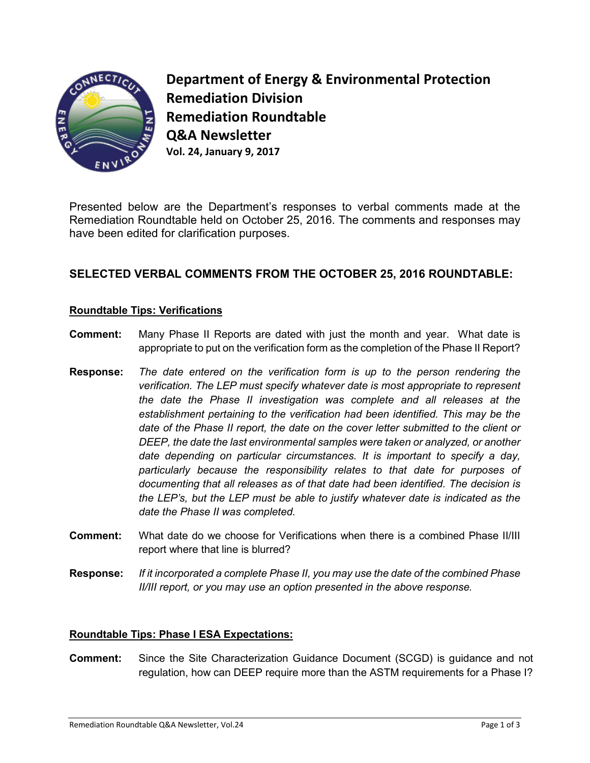

**Department of Energy & Environmental Protection Remediation Division Remediation Roundtable Q&A Newsletter Vol. 24, January 9, 2017**

Presented below are the Department's responses to verbal comments made at the Remediation Roundtable held on October 25, 2016. The comments and responses may have been edited for clarification purposes.

# **SELECTED VERBAL COMMENTS FROM THE OCTOBER 25, 2016 ROUNDTABLE:**

## **Roundtable Tips: Verifications**

- **Comment:** Many Phase II Reports are dated with just the month and year. What date is appropriate to put on the verification form as the completion of the Phase II Report?
- **Response:** *The date entered on the verification form is up to the person rendering the verification. The LEP must specify whatever date is most appropriate to represent the date the Phase II investigation was complete and all releases at the establishment pertaining to the verification had been identified. This may be the date of the Phase II report, the date on the cover letter submitted to the client or DEEP, the date the last environmental samples were taken or analyzed, or another date depending on particular circumstances. It is important to specify a day, particularly because the responsibility relates to that date for purposes of documenting that all releases as of that date had been identified. The decision is the LEP's, but the LEP must be able to justify whatever date is indicated as the date the Phase II was completed.*
- **Comment:** What date do we choose for Verifications when there is a combined Phase II/III report where that line is blurred?
- **Response:** *If it incorporated a complete Phase II, you may use the date of the combined Phase II/III report, or you may use an option presented in the above response.*

## **Roundtable Tips: Phase I ESA Expectations:**

**Comment:** Since the Site Characterization Guidance Document (SCGD) is guidance and not regulation, how can DEEP require more than the ASTM requirements for a Phase I?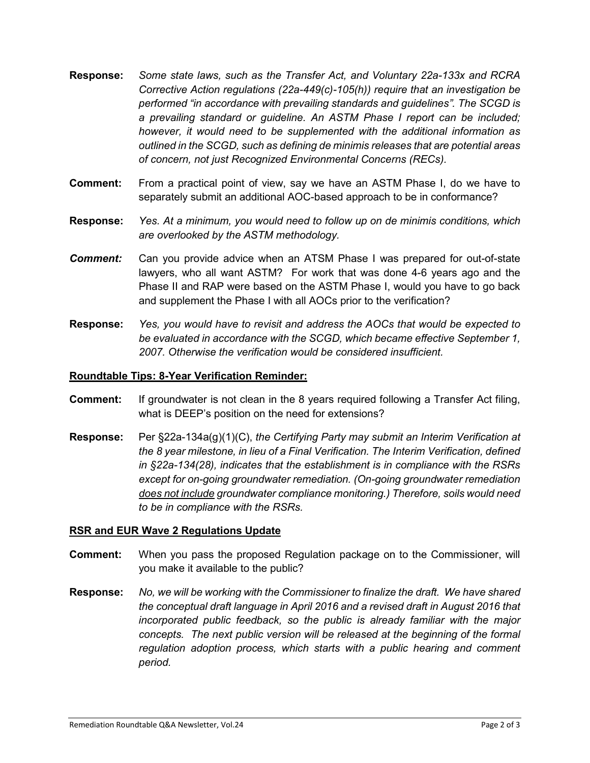- **Response:** *Some state laws, such as the Transfer Act, and Voluntary 22a-133x and RCRA Corrective Action regulations (22a-449(c)-105(h)) require that an investigation be performed "in accordance with prevailing standards and guidelines". The SCGD is a prevailing standard or guideline. An ASTM Phase I report can be included; however, it would need to be supplemented with the additional information as outlined in the SCGD, such as defining de minimis releases that are potential areas of concern, not just Recognized Environmental Concerns (RECs).*
- **Comment:** From a practical point of view, say we have an ASTM Phase I, do we have to separately submit an additional AOC-based approach to be in conformance?
- **Response:** *Yes. At a minimum, you would need to follow up on de minimis conditions, which are overlooked by the ASTM methodology.*
- *Comment:* Can you provide advice when an ATSM Phase I was prepared for out-of-state lawyers, who all want ASTM? For work that was done 4-6 years ago and the Phase II and RAP were based on the ASTM Phase I, would you have to go back and supplement the Phase I with all AOCs prior to the verification?
- **Response:** *Yes, you would have to revisit and address the AOCs that would be expected to be evaluated in accordance with the SCGD, which became effective September 1, 2007. Otherwise the verification would be considered insufficient.*

#### **Roundtable Tips: 8-Year Verification Reminder:**

- **Comment:** If groundwater is not clean in the 8 years required following a Transfer Act filing, what is DEEP's position on the need for extensions?
- **Response:** Per §22a-134a(g)(1)(C), *the Certifying Party may submit an Interim Verification at the 8 year milestone, in lieu of a Final Verification. The Interim Verification, defined in §22a-134(28), indicates that the establishment is in compliance with the RSRs except for on-going groundwater remediation. (On-going groundwater remediation does not include groundwater compliance monitoring.) Therefore, soils would need to be in compliance with the RSRs.*

#### **RSR and EUR Wave 2 Regulations Update**

- **Comment:** When you pass the proposed Regulation package on to the Commissioner, will you make it available to the public?
- **Response:** *No, we will be working with the Commissioner to finalize the draft. We have shared the conceptual draft language in April 2016 and a revised draft in August 2016 that incorporated public feedback, so the public is already familiar with the major concepts. The next public version will be released at the beginning of the formal regulation adoption process, which starts with a public hearing and comment period.*